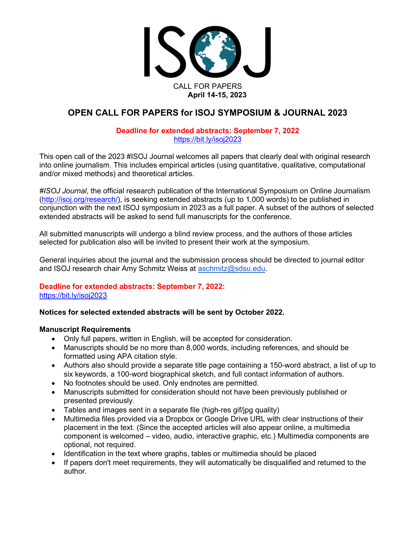

## **OPEN CALL FOR PAPERS for ISOJ SYMPOSIUM & JOURNAL 2023**

#### **Deadline for extended abstracts: September 7, 2022** https://bit.ly/isoj2023

This open call of the 2023 #ISOJ Journal welcomes all papers that clearly deal with original research into online journalism. This includes empirical articles (using quantitative, qualitative, computational and/or mixed methods) and theoretical articles.

*#ISOJ Journal*, the official research publication of the International Symposium on Online Journalism (http://isoj.org/research/), is seeking extended abstracts (up to 1,000 words) to be published in conjunction with the next ISOJ symposium in 2023 as a full paper. A subset of the authors of selected extended abstracts will be asked to send full manuscripts for the conference.

All submitted manuscripts will undergo a blind review process, and the authors of those articles selected for publication also will be invited to present their work at the symposium.

General inquiries about the journal and the submission process should be directed to journal editor and ISOJ research chair Amy Schmitz Weiss at aschmitz@sdsu.edu.

# **Deadline for extended abstracts: September 7, 2022:**

https://bit.ly/isoj2023

#### **Notices for selected extended abstracts will be sent by October 2022.**

#### **Manuscript Requirements**

- Only full papers, written in English, will be accepted for consideration.
- Manuscripts should be no more than 8,000 words, including references, and should be formatted using APA citation style.
- Authors also should provide a separate title page containing a 150-word abstract, a list of up to six keywords, a 100-word biographical sketch, and full contact information of authors.
- No footnotes should be used. Only endnotes are permitted.
- Manuscripts submitted for consideration should not have been previously published or presented previously.
- Tables and images sent in a separate file (high-res gif/jpg quality)
- Multimedia files provided via a Dropbox or Google Drive URL with clear instructions of their placement in the text. (Since the accepted articles will also appear online, a multimedia component is welcomed – video, audio, interactive graphic, etc.) Multimedia components are optional, not required.
- Identification in the text where graphs, tables or multimedia should be placed
- If papers don't meet requirements, they will automatically be disqualified and returned to the author.